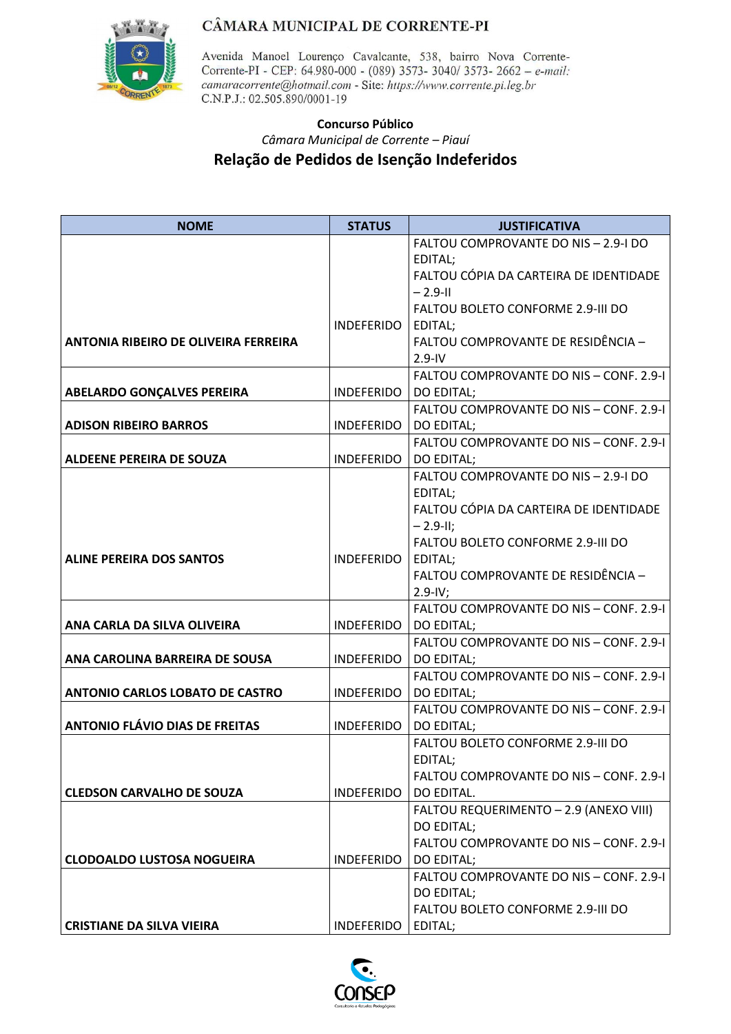

Avenida Manoel Lourenço Cavalcante, 538, bairro Nova Corrente-Corrente-PI - CEP: 64.980-000 - (089) 3573- 3040/ 3573- 2662 - e-mail: camaracorrente@hotmail.com - Site: https://www.corrente.pi.leg.br C.N.P.J.: 02.505.890/0001-19

### **Concurso Público** *Câmara Municipal de Corrente – Piauí*  **Relação de Pedidos de Isenção Indeferidos**

| <b>NOME</b>                                 | <b>STATUS</b>     | <b>JUSTIFICATIVA</b>                    |
|---------------------------------------------|-------------------|-----------------------------------------|
|                                             |                   | FALTOU COMPROVANTE DO NIS - 2.9-I DO    |
|                                             |                   | EDITAL;                                 |
|                                             |                   | FALTOU CÓPIA DA CARTEIRA DE IDENTIDADE  |
|                                             |                   | $-2.9 - 11$                             |
|                                             |                   | FALTOU BOLETO CONFORME 2.9-III DO       |
|                                             | <b>INDEFERIDO</b> | EDITAL;                                 |
| <b>ANTONIA RIBEIRO DE OLIVEIRA FERREIRA</b> |                   | FALTOU COMPROVANTE DE RESIDÊNCIA -      |
|                                             |                   | $2.9 - IV$                              |
|                                             |                   | FALTOU COMPROVANTE DO NIS - CONF. 2.9-1 |
| <b>ABELARDO GONÇALVES PEREIRA</b>           | <b>INDEFERIDO</b> | DO EDITAL;                              |
|                                             |                   | FALTOU COMPROVANTE DO NIS - CONF. 2.9-I |
| <b>ADISON RIBEIRO BARROS</b>                | <b>INDEFERIDO</b> | DO EDITAL;                              |
|                                             |                   | FALTOU COMPROVANTE DO NIS - CONF. 2.9-1 |
| <b>ALDEENE PEREIRA DE SOUZA</b>             | <b>INDEFERIDO</b> | DO EDITAL;                              |
|                                             |                   | FALTOU COMPROVANTE DO NIS - 2.9-I DO    |
|                                             |                   | EDITAL;                                 |
|                                             |                   | FALTOU CÓPIA DA CARTEIRA DE IDENTIDADE  |
|                                             |                   | $-2.9-H$ ;                              |
|                                             |                   | FALTOU BOLETO CONFORME 2.9-III DO       |
| <b>ALINE PEREIRA DOS SANTOS</b>             | <b>INDEFERIDO</b> | EDITAL;                                 |
|                                             |                   | FALTOU COMPROVANTE DE RESIDÊNCIA -      |
|                                             |                   | $2.9 - IV;$                             |
|                                             |                   | FALTOU COMPROVANTE DO NIS - CONF. 2.9-1 |
| ANA CARLA DA SILVA OLIVEIRA                 | INDEFERIDO        | DO EDITAL;                              |
|                                             |                   | FALTOU COMPROVANTE DO NIS - CONF. 2.9-1 |
| ANA CAROLINA BARREIRA DE SOUSA              | INDEFERIDO        | DO EDITAL;                              |
|                                             |                   | FALTOU COMPROVANTE DO NIS - CONF. 2.9-1 |
| <b>ANTONIO CARLOS LOBATO DE CASTRO</b>      | INDEFERIDO        | <b>DO EDITAL;</b>                       |
|                                             |                   | FALTOU COMPROVANTE DO NIS - CONF. 2.9-I |
| <b>ANTONIO FLÁVIO DIAS DE FREITAS</b>       | <b>INDEFERIDO</b> | DO EDITAL;                              |
|                                             |                   | FALTOU BOLETO CONFORME 2.9-III DO       |
|                                             |                   | EDITAL;                                 |
|                                             |                   | FALTOU COMPROVANTE DO NIS - CONF. 2.9-I |
| <b>CLEDSON CARVALHO DE SOUZA</b>            | <b>INDEFERIDO</b> | DO EDITAL.                              |
|                                             |                   | FALTOU REQUERIMENTO - 2.9 (ANEXO VIII)  |
|                                             |                   | DO EDITAL;                              |
|                                             |                   | FALTOU COMPROVANTE DO NIS - CONF. 2.9-1 |
| <b>CLODOALDO LUSTOSA NOGUEIRA</b>           | <b>INDEFERIDO</b> | DO EDITAL;                              |
|                                             |                   | FALTOU COMPROVANTE DO NIS - CONF. 2.9-1 |
|                                             |                   | DO EDITAL;                              |
|                                             |                   | FALTOU BOLETO CONFORME 2.9-III DO       |
| <b>CRISTIANE DA SILVA VIEIRA</b>            | <b>INDEFERIDO</b> | EDITAL;                                 |

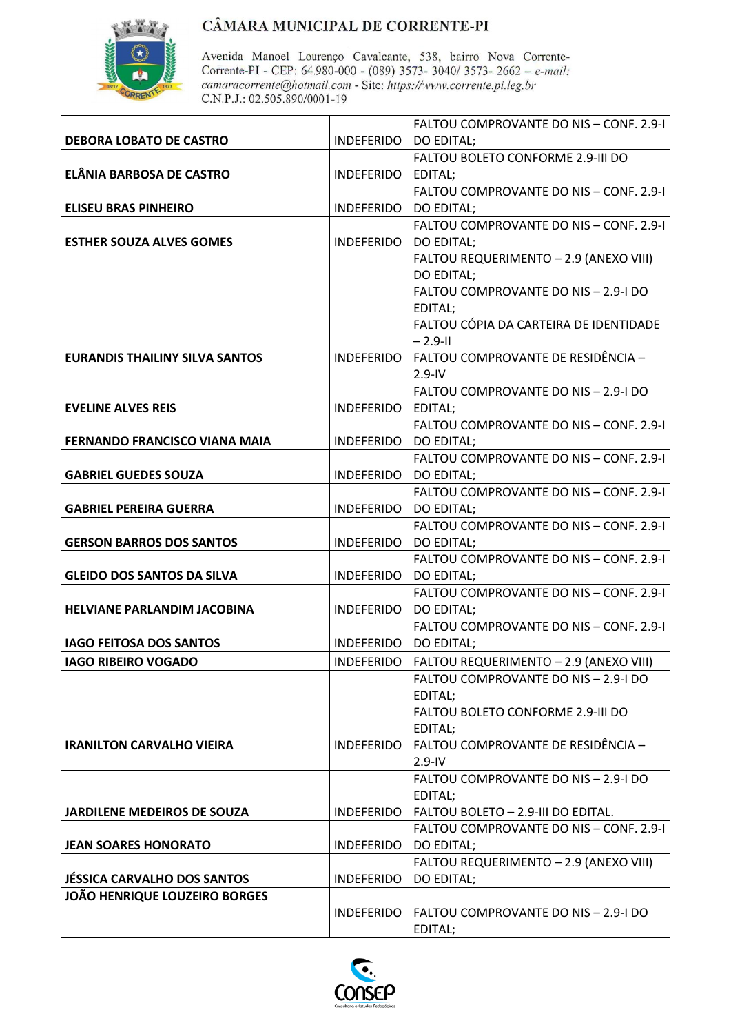

|                                       |                         | <b>FALTOU COMPROVANTE DO NIS - CONF. 2.9-1</b>        |
|---------------------------------------|-------------------------|-------------------------------------------------------|
| <b>DEBORA LOBATO DE CASTRO</b>        | <b>INDEFERIDO</b>       | <b>DO EDITAL;</b>                                     |
|                                       |                         | FALTOU BOLETO CONFORME 2.9-III DO                     |
| ELÂNIA BARBOSA DE CASTRO              | INDEFERIDO              | EDITAL;                                               |
|                                       |                         | FALTOU COMPROVANTE DO NIS - CONF. 2.9-I               |
| <b>ELISEU BRAS PINHEIRO</b>           | <b>INDEFERIDO</b>       | DO EDITAL;                                            |
|                                       |                         | FALTOU COMPROVANTE DO NIS - CONF. 2.9-I               |
| <b>ESTHER SOUZA ALVES GOMES</b>       | <b>INDEFERIDO</b>       | DO EDITAL;                                            |
|                                       |                         | FALTOU REQUERIMENTO - 2.9 (ANEXO VIII)                |
|                                       |                         | DO EDITAL;                                            |
|                                       |                         | FALTOU COMPROVANTE DO NIS - 2.9-I DO                  |
|                                       |                         | EDITAL;                                               |
|                                       |                         | FALTOU CÓPIA DA CARTEIRA DE IDENTIDADE                |
|                                       |                         | $-2.9 - 11$                                           |
| <b>EURANDIS THAILINY SILVA SANTOS</b> | <b>INDEFERIDO</b>       | FALTOU COMPROVANTE DE RESIDÊNCIA –                    |
|                                       |                         | $2.9 - IV$                                            |
|                                       |                         | FALTOU COMPROVANTE DO NIS - 2.9-I DO                  |
| <b>EVELINE ALVES REIS</b>             | <b>INDEFERIDO</b>       | EDITAL;                                               |
|                                       |                         | FALTOU COMPROVANTE DO NIS - CONF. 2.9-1               |
| <b>FERNANDO FRANCISCO VIANA MAIA</b>  | <b>INDEFERIDO</b>       | DO EDITAL;                                            |
|                                       |                         | FALTOU COMPROVANTE DO NIS - CONF. 2.9-1<br>DO EDITAL; |
| <b>GABRIEL GUEDES SOUZA</b>           | <b>INDEFERIDO</b>       | FALTOU COMPROVANTE DO NIS - CONF. 2.9-1               |
| <b>GABRIEL PEREIRA GUERRA</b>         | <b>INDEFERIDO</b>       | DO EDITAL;                                            |
|                                       |                         | FALTOU COMPROVANTE DO NIS - CONF. 2.9-1               |
| <b>GERSON BARROS DOS SANTOS</b>       | INDEFERIDO   DO EDITAL; |                                                       |
|                                       |                         | FALTOU COMPROVANTE DO NIS - CONF. 2.9-I               |
| <b>GLEIDO DOS SANTOS DA SILVA</b>     | <b>INDEFERIDO</b>       | DO EDITAL;                                            |
|                                       |                         | FALTOU COMPROVANTE DO NIS - CONF. 2.9-1               |
| <b>HELVIANE PARLANDIM JACOBINA</b>    | <b>INDEFERIDO</b>       | DO EDITAL;                                            |
|                                       |                         | FALTOU COMPROVANTE DO NIS - CONF. 2.9-1               |
| <b>IAGO FEITOSA DOS SANTOS</b>        | INDEFERIDO              | DO EDITAL;                                            |
| <b>IAGO RIBEIRO VOGADO</b>            | INDEFERIDO              | FALTOU REQUERIMENTO - 2.9 (ANEXO VIII)                |
|                                       |                         | FALTOU COMPROVANTE DO NIS - 2.9-I DO                  |
|                                       |                         | EDITAL;                                               |
|                                       |                         | FALTOU BOLETO CONFORME 2.9-III DO                     |
|                                       |                         | EDITAL;                                               |
| <b>IRANILTON CARVALHO VIEIRA</b>      | <b>INDEFERIDO</b>       | FALTOU COMPROVANTE DE RESIDÊNCIA -                    |
|                                       |                         | $2.9 - IV$                                            |
|                                       |                         | FALTOU COMPROVANTE DO NIS - 2.9-I DO                  |
|                                       |                         | EDITAL;                                               |
| <b>JARDILENE MEDEIROS DE SOUZA</b>    | <b>INDEFERIDO</b>       | FALTOU BOLETO - 2.9-III DO EDITAL.                    |
|                                       |                         | FALTOU COMPROVANTE DO NIS - CONF. 2.9-1               |
| <b>JEAN SOARES HONORATO</b>           | <b>INDEFERIDO</b>       | DO EDITAL;                                            |
|                                       |                         | FALTOU REQUERIMENTO - 2.9 (ANEXO VIII)                |
| <b>JÉSSICA CARVALHO DOS SANTOS</b>    | <b>INDEFERIDO</b>       | DO EDITAL;                                            |
| <b>JOÃO HENRIQUE LOUZEIRO BORGES</b>  |                         |                                                       |
|                                       | <b>INDEFERIDO</b>       | FALTOU COMPROVANTE DO NIS - 2.9-I DO                  |
|                                       |                         | EDITAL;                                               |

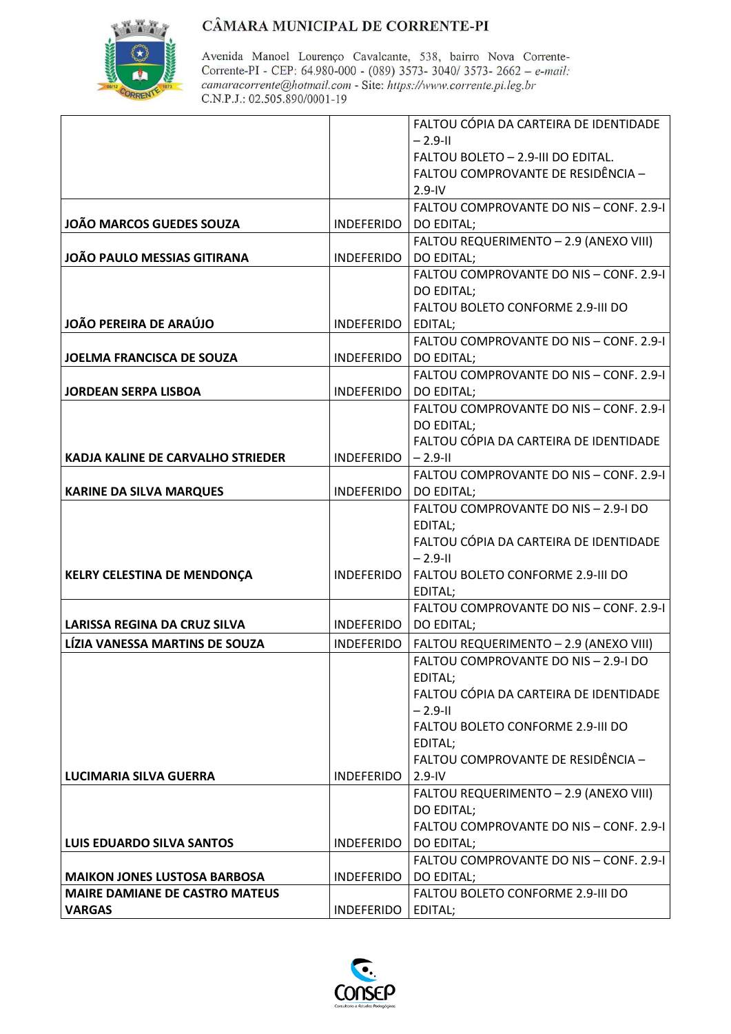

|                                          |                   | FALTOU CÓPIA DA CARTEIRA DE IDENTIDADE  |
|------------------------------------------|-------------------|-----------------------------------------|
|                                          |                   | $-2.9 - 11$                             |
|                                          |                   | FALTOU BOLETO - 2.9-III DO EDITAL.      |
|                                          |                   | FALTOU COMPROVANTE DE RESIDÊNCIA -      |
|                                          |                   | $2.9 - IV$                              |
|                                          |                   | FALTOU COMPROVANTE DO NIS - CONF. 2.9-I |
| <b>JOÃO MARCOS GUEDES SOUZA</b>          | <b>INDEFERIDO</b> | DO EDITAL;                              |
|                                          |                   | FALTOU REQUERIMENTO - 2.9 (ANEXO VIII)  |
| <b>JOÃO PAULO MESSIAS GITIRANA</b>       | <b>INDEFERIDO</b> | DO EDITAL;                              |
|                                          |                   | FALTOU COMPROVANTE DO NIS - CONF. 2.9-1 |
|                                          |                   | DO EDITAL;                              |
|                                          |                   | FALTOU BOLETO CONFORME 2.9-III DO       |
| JOÃO PEREIRA DE ARAÚJO                   | <b>INDEFERIDO</b> | EDITAL;                                 |
|                                          |                   | FALTOU COMPROVANTE DO NIS - CONF. 2.9-1 |
| JOELMA FRANCISCA DE SOUZA                | <b>INDEFERIDO</b> | <b>DO EDITAL;</b>                       |
|                                          |                   | FALTOU COMPROVANTE DO NIS - CONF. 2.9-I |
| <b>JORDEAN SERPA LISBOA</b>              | <b>INDEFERIDO</b> | DO EDITAL;                              |
|                                          |                   | FALTOU COMPROVANTE DO NIS - CONF. 2.9-I |
|                                          |                   | DO EDITAL;                              |
|                                          |                   | FALTOU CÓPIA DA CARTEIRA DE IDENTIDADE  |
| <b>KADJA KALINE DE CARVALHO STRIEDER</b> | <b>INDEFERIDO</b> | $-2.9 -$ II                             |
|                                          |                   | FALTOU COMPROVANTE DO NIS - CONF. 2.9-1 |
| <b>KARINE DA SILVA MARQUES</b>           | <b>INDEFERIDO</b> | DO EDITAL;                              |
|                                          |                   | FALTOU COMPROVANTE DO NIS - 2.9-I DO    |
|                                          |                   | EDITAL;                                 |
|                                          |                   | FALTOU CÓPIA DA CARTEIRA DE IDENTIDADE  |
|                                          |                   | $-2.9 - 11$                             |
| <b>KELRY CELESTINA DE MENDONÇA</b>       | <b>INDEFERIDO</b> | FALTOU BOLETO CONFORME 2.9-III DO       |
|                                          |                   | EDITAL;                                 |
|                                          |                   | FALTOU COMPROVANTE DO NIS - CONF. 2.9-I |
| LARISSA REGINA DA CRUZ SILVA             | <b>INDEFERIDO</b> | DO EDITAL;                              |
| LÍZIA VANESSA MARTINS DE SOUZA           | <b>INDEFERIDO</b> | FALTOU REQUERIMENTO - 2.9 (ANEXO VIII)  |
|                                          |                   | FALTOU COMPROVANTE DO NIS - 2.9-I DO    |
|                                          |                   | EDITAL;                                 |
|                                          |                   | FALTOU CÓPIA DA CARTEIRA DE IDENTIDADE  |
|                                          |                   | $-2.9 -$ II                             |
|                                          |                   | FALTOU BOLETO CONFORME 2.9-III DO       |
|                                          |                   | EDITAL;                                 |
|                                          |                   | FALTOU COMPROVANTE DE RESIDÊNCIA -      |
| <b>LUCIMARIA SILVA GUERRA</b>            | <b>INDEFERIDO</b> | $2.9 - IV$                              |
|                                          |                   | FALTOU REQUERIMENTO - 2.9 (ANEXO VIII)  |
|                                          |                   | DO EDITAL;                              |
|                                          |                   | FALTOU COMPROVANTE DO NIS - CONF. 2.9-I |
| LUIS EDUARDO SILVA SANTOS                | <b>INDEFERIDO</b> | DO EDITAL;                              |
|                                          |                   | FALTOU COMPROVANTE DO NIS - CONF. 2.9-1 |
| <b>MAIKON JONES LUSTOSA BARBOSA</b>      | <b>INDEFERIDO</b> | DO EDITAL;                              |
| <b>MAIRE DAMIANE DE CASTRO MATEUS</b>    |                   | FALTOU BOLETO CONFORME 2.9-III DO       |
| <b>VARGAS</b>                            | <b>INDEFERIDO</b> | EDITAL;                                 |
|                                          |                   |                                         |

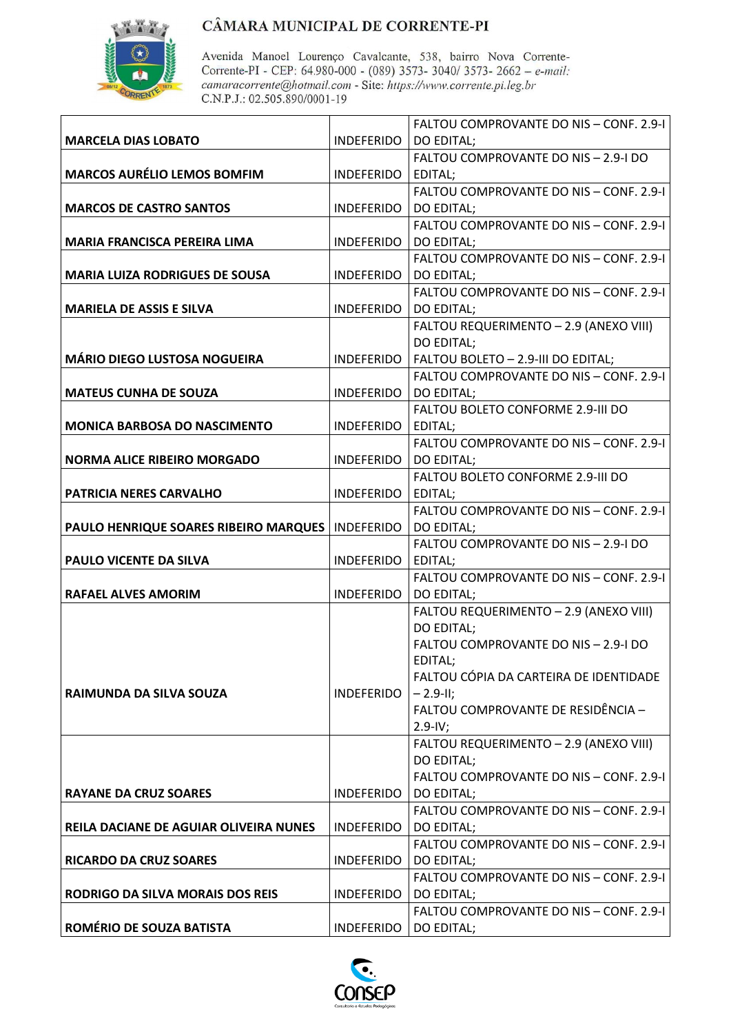

|                                               |                         | FALTOU COMPROVANTE DO NIS - CONF. 2.9-1                      |
|-----------------------------------------------|-------------------------|--------------------------------------------------------------|
| <b>MARCELA DIAS LOBATO</b>                    | <b>INDEFERIDO</b>       | DO EDITAL;                                                   |
|                                               |                         | FALTOU COMPROVANTE DO NIS - 2.9-I DO                         |
| <b>MARCOS AURÉLIO LEMOS BOMFIM</b>            | INDEFERIDO   EDITAL;    |                                                              |
|                                               |                         | FALTOU COMPROVANTE DO NIS - CONF. 2.9-1                      |
| <b>MARCOS DE CASTRO SANTOS</b>                | <b>INDEFERIDO</b>       | DO EDITAL;                                                   |
|                                               |                         | FALTOU COMPROVANTE DO NIS - CONF. 2.9-1                      |
| <b>MARIA FRANCISCA PEREIRA LIMA</b>           | INDEFERIDO   DO EDITAL; |                                                              |
|                                               |                         | FALTOU COMPROVANTE DO NIS - CONF. 2.9-1                      |
| <b>MARIA LUIZA RODRIGUES DE SOUSA</b>         | INDEFERIDO   DO EDITAL; |                                                              |
|                                               |                         | FALTOU COMPROVANTE DO NIS - CONF. 2.9-1                      |
| <b>MARIELA DE ASSIS E SILVA</b>               | INDEFERIDO   DO EDITAL; |                                                              |
|                                               |                         | FALTOU REQUERIMENTO - 2.9 (ANEXO VIII)                       |
|                                               |                         | DO EDITAL;                                                   |
| <b>MÁRIO DIEGO LUSTOSA NOGUEIRA</b>           |                         | INDEFERIDO   FALTOU BOLETO - 2.9-III DO EDITAL;              |
|                                               |                         | FALTOU COMPROVANTE DO NIS - CONF. 2.9-1                      |
| <b>MATEUS CUNHA DE SOUZA</b>                  | INDEFERIDO   DO EDITAL; |                                                              |
|                                               |                         | FALTOU BOLETO CONFORME 2.9-III DO                            |
| <b>MONICA BARBOSA DO NASCIMENTO</b>           | INDEFERIDO              | EDITAL;                                                      |
|                                               |                         | FALTOU COMPROVANTE DO NIS - CONF. 2.9-1                      |
| <b>NORMA ALICE RIBEIRO MORGADO</b>            | INDEFERIDO   DO EDITAL; |                                                              |
|                                               |                         | FALTOU BOLETO CONFORME 2.9-III DO                            |
| PATRICIA NERES CARVALHO                       | INDEFERIDO EDITAL;      |                                                              |
|                                               |                         | FALTOU COMPROVANTE DO NIS - CONF. 2.9-1                      |
| PAULO HENRIQUE SOARES RIBEIRO MARQUES         | INDEFERIDO   DO EDITAL; |                                                              |
|                                               |                         | FALTOU COMPROVANTE DO NIS - 2.9-I DO                         |
| PAULO VICENTE DA SILVA                        | <b>INDEFERIDO</b>       | EDITAL;                                                      |
|                                               |                         | FALTOU COMPROVANTE DO NIS - CONF. 2.9-1<br><b>DO EDITAL:</b> |
| <b>RAFAEL ALVES AMORIM</b>                    | INDEFERIDO              | FALTOU REQUERIMENTO - 2.9 (ANEXO VIII)                       |
|                                               |                         | DO EDITAL;                                                   |
|                                               |                         | FALTOU COMPROVANTE DO NIS - 2.9-I DO                         |
|                                               |                         | EDITAL;                                                      |
|                                               |                         | FALTOU CÓPIA DA CARTEIRA DE IDENTIDADE                       |
| RAIMUNDA DA SILVA SOUZA                       | <b>INDEFERIDO</b>       | $ -2.9-11;$                                                  |
|                                               |                         | FALTOU COMPROVANTE DE RESIDÊNCIA -                           |
|                                               |                         | $2.9 - IV;$                                                  |
|                                               |                         | FALTOU REQUERIMENTO - 2.9 (ANEXO VIII)                       |
|                                               |                         | DO EDITAL;                                                   |
|                                               |                         | FALTOU COMPROVANTE DO NIS - CONF. 2.9-I                      |
| <b>RAYANE DA CRUZ SOARES</b>                  | <b>INDEFERIDO</b>       | DO EDITAL;                                                   |
|                                               |                         | FALTOU COMPROVANTE DO NIS - CONF. 2.9-1                      |
| <b>REILA DACIANE DE AGUIAR OLIVEIRA NUNES</b> | INDEFERIDO              | DO EDITAL;                                                   |
|                                               |                         | FALTOU COMPROVANTE DO NIS - CONF. 2.9-1                      |
| <b>RICARDO DA CRUZ SOARES</b>                 | <b>INDEFERIDO</b>       | DO EDITAL;                                                   |
|                                               |                         | FALTOU COMPROVANTE DO NIS - CONF. 2.9-1                      |
| <b>RODRIGO DA SILVA MORAIS DOS REIS</b>       | INDEFERIDO              | <b>DO EDITAL;</b>                                            |
|                                               |                         | FALTOU COMPROVANTE DO NIS - CONF. 2.9-1                      |
| ROMÉRIO DE SOUZA BATISTA                      | INDEFERIDO   DO EDITAL; |                                                              |